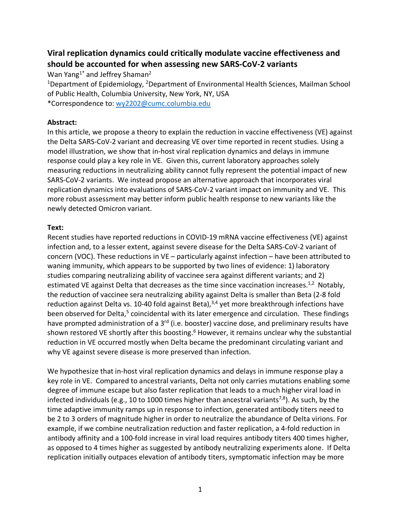## **Viral replication dynamics could critically modulate vaccine effectiveness and should be accounted for when assessing new SARS-CoV-2 variants**

Wan Yang<sup>1\*</sup> and Jeffrey Shaman<sup>2</sup>

<sup>1</sup>Department of Epidemiology, <sup>2</sup>Department of Environmental Health Sciences, Mailman School of Public Health, Columbia University, New York, NY, USA

\*Correspondence to: wy2202@cumc.columbia.edu

## **Abstract:**

In this article, we propose a theory to explain the reduction in vaccine effectiveness (VE) against the Delta SARS-CoV-2 variant and decreasing VE over time reported in recent studies. Using a model illustration, we show that in-host viral replication dynamics and delays in immune response could play a key role in VE. Given this, current laboratory approaches solely measuring reductions in neutralizing ability cannot fully represent the potential impact of new SARS-CoV-2 variants. We instead propose an alternative approach that incorporates viral replication dynamics into evaluations of SARS-CoV-2 variant impact on immunity and VE. This more robust assessment may better inform public health response to new variants like the newly detected Omicron variant.

## **Text:**

Recent studies have reported reductions in COVID-19 mRNA vaccine effectiveness (VE) against infection and, to a lesser extent, against severe disease for the Delta SARS-CoV-2 variant of concern (VOC). These reductions in VE – particularly against infection – have been attributed to waning immunity, which appears to be supported by two lines of evidence: 1) laboratory studies comparing neutralizing ability of vaccinee sera against different variants; and 2) estimated VE against Delta that decreases as the time since vaccination increases.<sup>1,2</sup> Notably, the reduction of vaccinee sera neutralizing ability against Delta is smaller than Beta (2-8 fold reduction against Delta vs. 10-40 fold against Beta),<sup>3,4</sup> yet more breakthrough infections have been observed for Delta,<sup>5</sup> coincidental with its later emergence and circulation. These findings have prompted administration of a 3<sup>rd</sup> (i.e. booster) vaccine dose, and preliminary results have shown restored VE shortly after this boosting.<sup>6</sup> However, it remains unclear why the substantial reduction in VE occurred mostly when Delta became the predominant circulating variant and why VE against severe disease is more preserved than infection.

We hypothesize that in-host viral replication dynamics and delays in immune response play a key role in VE. Compared to ancestral variants, Delta not only carries mutations enabling some degree of immune escape but also faster replication that leads to a much higher viral load in infected individuals (e.g., 10 to 1000 times higher than ancestral variants<sup>7,8</sup>). As such, by the time adaptive immunity ramps up in response to infection, generated antibody titers need to be 2 to 3 orders of magnitude higher in order to neutralize the abundance of Delta virions. For example, if we combine neutralization reduction and faster replication, a 4-fold reduction in antibody affinity and a 100-fold increase in viral load requires antibody titers 400 times higher, as opposed to 4 times higher as suggested by antibody neutralizing experiments alone. If Delta replication initially outpaces elevation of antibody titers, symptomatic infection may be more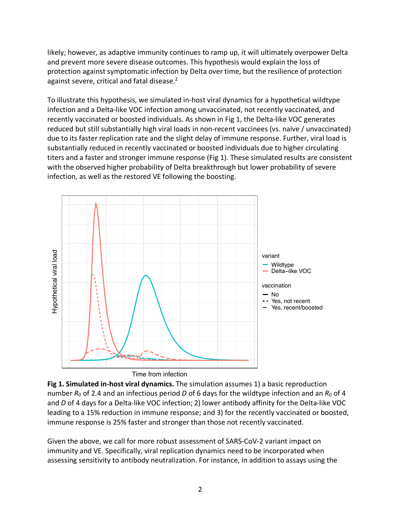likely; however, as adaptive immunity continues to ramp up, it will ultimately overpower Delta and prevent more severe disease outcomes. This hypothesis would explain the loss of protection against symptomatic infection by Delta over time, but the resilience of protection against severe, critical and fatal disease.<sup>2</sup>

To illustrate this hypothesis, we simulated in-host viral dynamics for a hypothetical wildtype infection and a Delta-like VOC infection among unvaccinated, not recently vaccinated, and recently vaccinated or boosted individuals. As shown in Fig 1, the Delta-like VOC generates reduced but still substantially high viral loads in non-recent vaccinees (vs. naïve / unvaccinated) due to its faster replication rate and the slight delay of immune response. Further, viral load is substantially reduced in recently vaccinated or boosted individuals due to higher circulating titers and a faster and stronger immune response (Fig 1). These simulated results are consistent with the observed higher probability of Delta breakthrough but lower probability of severe infection, as well as the restored VE following the boosting.



Time from infection

**Fig 1. Simulated in-host viral dynamics.** The simulation assumes 1) a basic reproduction number *R0* of 2.4 and an infectious period *D* of 6 days for the wildtype infection and an *R0* of 4 and *D* of 4 days for a Delta-like VOC infection; 2) lower antibody affinity for the Delta-like VOC leading to a 15% reduction in immune response; and 3) for the recently vaccinated or boosted, immune response is 25% faster and stronger than those not recently vaccinated.

Given the above, we call for more robust assessment of SARS-CoV-2 variant impact on immunity and VE. Specifically, viral replication dynamics need to be incorporated when assessing sensitivity to antibody neutralization. For instance, in addition to assays using the